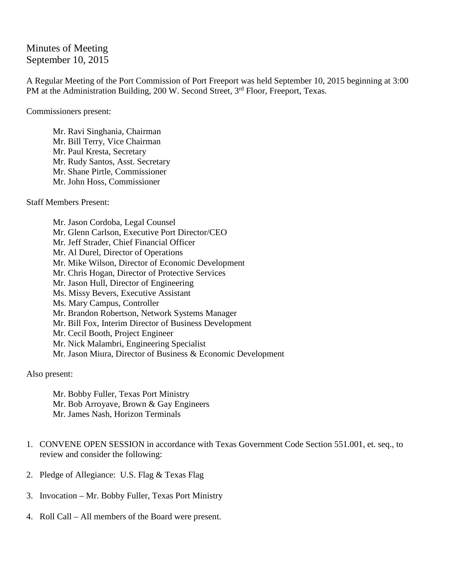## Minutes of Meeting September 10, 2015

A Regular Meeting of the Port Commission of Port Freeport was held September 10, 2015 beginning at 3:00 PM at the Administration Building, 200 W. Second Street, 3<sup>rd</sup> Floor, Freeport, Texas.

Commissioners present:

Mr. Ravi Singhania, Chairman Mr. Bill Terry, Vice Chairman Mr. Paul Kresta, Secretary Mr. Rudy Santos, Asst. Secretary Mr. Shane Pirtle, Commissioner Mr. John Hoss, Commissioner

Staff Members Present:

Mr. Jason Cordoba, Legal Counsel Mr. Glenn Carlson, Executive Port Director/CEO Mr. Jeff Strader, Chief Financial Officer Mr. Al Durel, Director of Operations Mr. Mike Wilson, Director of Economic Development Mr. Chris Hogan, Director of Protective Services Mr. Jason Hull, Director of Engineering Ms. Missy Bevers, Executive Assistant Ms. Mary Campus, Controller Mr. Brandon Robertson, Network Systems Manager Mr. Bill Fox, Interim Director of Business Development Mr. Cecil Booth, Project Engineer Mr. Nick Malambri, Engineering Specialist Mr. Jason Miura, Director of Business & Economic Development

Also present:

Mr. Bobby Fuller, Texas Port Ministry Mr. Bob Arroyave, Brown & Gay Engineers Mr. James Nash, Horizon Terminals

- 1. CONVENE OPEN SESSION in accordance with Texas Government Code Section 551.001, et. seq., to review and consider the following:
- 2. Pledge of Allegiance: U.S. Flag & Texas Flag
- 3. Invocation Mr. Bobby Fuller, Texas Port Ministry
- 4. Roll Call All members of the Board were present.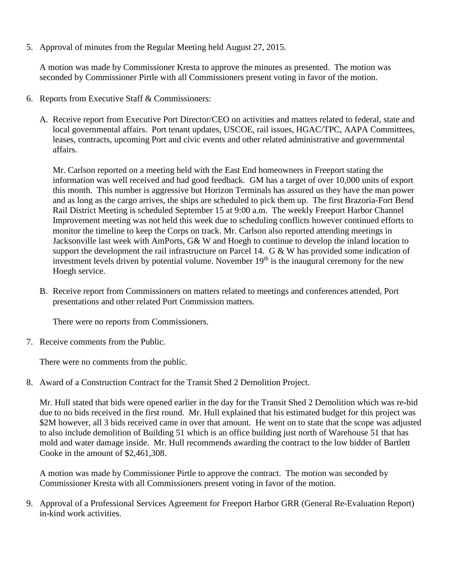5. Approval of minutes from the Regular Meeting held August 27, 2015.

A motion was made by Commissioner Kresta to approve the minutes as presented. The motion was seconded by Commissioner Pirtle with all Commissioners present voting in favor of the motion.

- 6. Reports from Executive Staff & Commissioners:
	- A. Receive report from Executive Port Director/CEO on activities and matters related to federal, state and local governmental affairs. Port tenant updates, USCOE, rail issues, HGAC/TPC, AAPA Committees, leases, contracts, upcoming Port and civic events and other related administrative and governmental affairs.

Mr. Carlson reported on a meeting held with the East End homeowners in Freeport stating the information was well received and had good feedback. GM has a target of over 10,000 units of export this month. This number is aggressive but Horizon Terminals has assured us they have the man power and as long as the cargo arrives, the ships are scheduled to pick them up. The first Brazoria-Fort Bend Rail District Meeting is scheduled September 15 at 9:00 a.m. The weekly Freeport Harbor Channel Improvement meeting was not held this week due to scheduling conflicts however continued efforts to monitor the timeline to keep the Corps on track. Mr. Carlson also reported attending meetings in Jacksonville last week with AmPorts, G& W and Hoegh to continue to develop the inland location to support the development the rail infrastructure on Parcel 14. G & W has provided some indication of investment levels driven by potential volume. November  $19<sup>th</sup>$  is the inaugural ceremony for the new Hoegh service.

B. Receive report from Commissioners on matters related to meetings and conferences attended, Port presentations and other related Port Commission matters.

There were no reports from Commissioners.

7. Receive comments from the Public.

There were no comments from the public.

8. Award of a Construction Contract for the Transit Shed 2 Demolition Project.

Mr. Hull stated that bids were opened earlier in the day for the Transit Shed 2 Demolition which was re-bid due to no bids received in the first round. Mr. Hull explained that his estimated budget for this project was \$2M however, all 3 bids received came in over that amount. He went on to state that the scope was adjusted to also include demolition of Building 51 which is an office building just north of Warehouse 51 that has mold and water damage inside. Mr. Hull recommends awarding the contract to the low bidder of Bartlett Cooke in the amount of \$2,461,308.

A motion was made by Commissioner Pirtle to approve the contract. The motion was seconded by Commissioner Kresta with all Commissioners present voting in favor of the motion.

9. Approval of a Professional Services Agreement for Freeport Harbor GRR (General Re-Evaluation Report) in-kind work activities.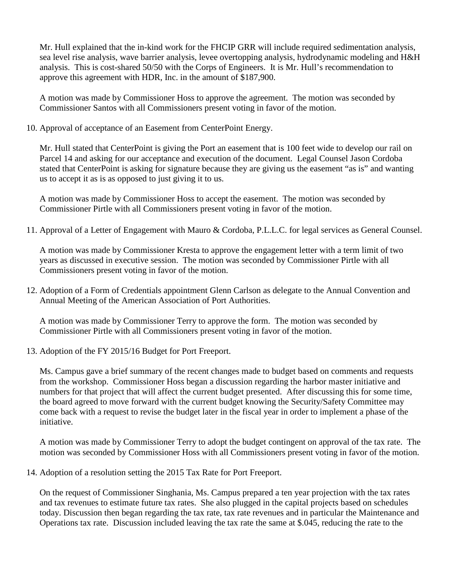Mr. Hull explained that the in-kind work for the FHCIP GRR will include required sedimentation analysis, sea level rise analysis, wave barrier analysis, levee overtopping analysis, hydrodynamic modeling and H&H analysis. This is cost-shared 50/50 with the Corps of Engineers. It is Mr. Hull's recommendation to approve this agreement with HDR, Inc. in the amount of \$187,900.

A motion was made by Commissioner Hoss to approve the agreement. The motion was seconded by Commissioner Santos with all Commissioners present voting in favor of the motion.

10. Approval of acceptance of an Easement from CenterPoint Energy.

Mr. Hull stated that CenterPoint is giving the Port an easement that is 100 feet wide to develop our rail on Parcel 14 and asking for our acceptance and execution of the document. Legal Counsel Jason Cordoba stated that CenterPoint is asking for signature because they are giving us the easement "as is" and wanting us to accept it as is as opposed to just giving it to us.

A motion was made by Commissioner Hoss to accept the easement. The motion was seconded by Commissioner Pirtle with all Commissioners present voting in favor of the motion.

11. Approval of a Letter of Engagement with Mauro & Cordoba, P.L.L.C. for legal services as General Counsel.

A motion was made by Commissioner Kresta to approve the engagement letter with a term limit of two years as discussed in executive session. The motion was seconded by Commissioner Pirtle with all Commissioners present voting in favor of the motion.

12. Adoption of a Form of Credentials appointment Glenn Carlson as delegate to the Annual Convention and Annual Meeting of the American Association of Port Authorities.

A motion was made by Commissioner Terry to approve the form. The motion was seconded by Commissioner Pirtle with all Commissioners present voting in favor of the motion.

13. Adoption of the FY 2015/16 Budget for Port Freeport.

Ms. Campus gave a brief summary of the recent changes made to budget based on comments and requests from the workshop. Commissioner Hoss began a discussion regarding the harbor master initiative and numbers for that project that will affect the current budget presented. After discussing this for some time, the board agreed to move forward with the current budget knowing the Security/Safety Committee may come back with a request to revise the budget later in the fiscal year in order to implement a phase of the initiative.

A motion was made by Commissioner Terry to adopt the budget contingent on approval of the tax rate. The motion was seconded by Commissioner Hoss with all Commissioners present voting in favor of the motion.

14. Adoption of a resolution setting the 2015 Tax Rate for Port Freeport.

On the request of Commissioner Singhania, Ms. Campus prepared a ten year projection with the tax rates and tax revenues to estimate future tax rates. She also plugged in the capital projects based on schedules today. Discussion then began regarding the tax rate, tax rate revenues and in particular the Maintenance and Operations tax rate. Discussion included leaving the tax rate the same at \$.045, reducing the rate to the